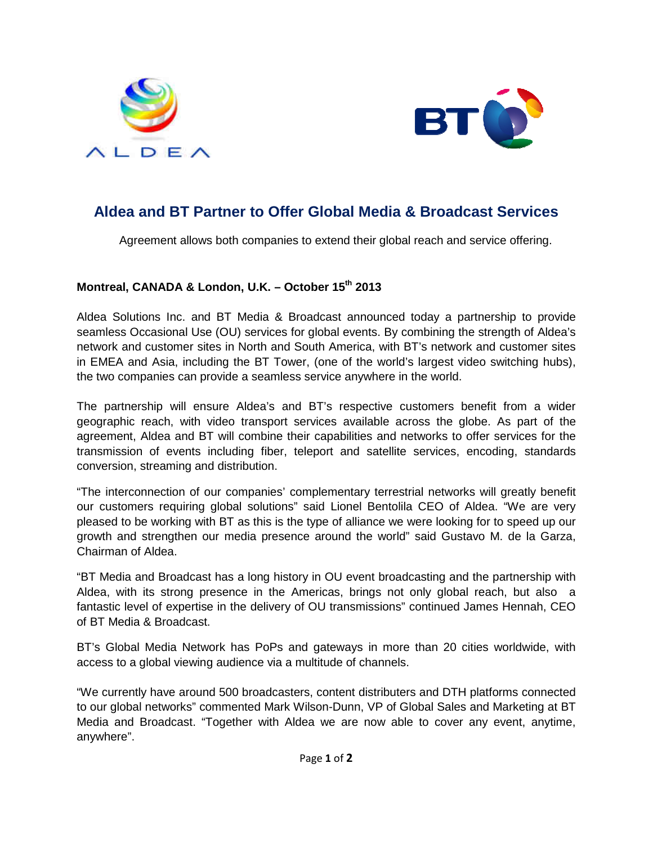



## **Aldea and BT Partner to Offer Global Media & Broadcast Services**

Agreement allows both companies to extend their global reach and service offering.

## **Montreal, CANADA & London, U.K. – October 15th 2013**

Aldea Solutions Inc. and BT Media & Broadcast announced today a partnership to provide seamless Occasional Use (OU) services for global events. By combining the strength of Aldea's network and customer sites in North and South America, with BT's network and customer sites in EMEA and Asia, including the BT Tower, (one of the world's largest video switching hubs), the two companies can provide a seamless service anywhere in the world.

The partnership will ensure Aldea's and BT's respective customers benefit from a wider geographic reach, with video transport services available across the globe. As part of the agreement, Aldea and BT will combine their capabilities and networks to offer services for the transmission of events including fiber, teleport and satellite services, encoding, standards conversion, streaming and distribution.

"The interconnection of our companies' complementary terrestrial networks will greatly benefit our customers requiring global solutions" said Lionel Bentolila CEO of Aldea. "We are very pleased to be working with BT as this is the type of alliance we were looking for to speed up our growth and strengthen our media presence around the world" said Gustavo M. de la Garza, Chairman of Aldea.

"BT Media and Broadcast has a long history in OU event broadcasting and the partnership with Aldea, with its strong presence in the Americas, brings not only global reach, but also a fantastic level of expertise in the delivery of OU transmissions" continued James Hennah, CEO of BT Media & Broadcast.

BT's Global Media Network has PoPs and gateways in more than 20 cities worldwide, with access to a global viewing audience via a multitude of channels.

"We currently have around 500 broadcasters, content distributers and DTH platforms connected to our global networks" commented Mark Wilson-Dunn, VP of Global Sales and Marketing at BT Media and Broadcast. "Together with Aldea we are now able to cover any event, anytime, anywhere".